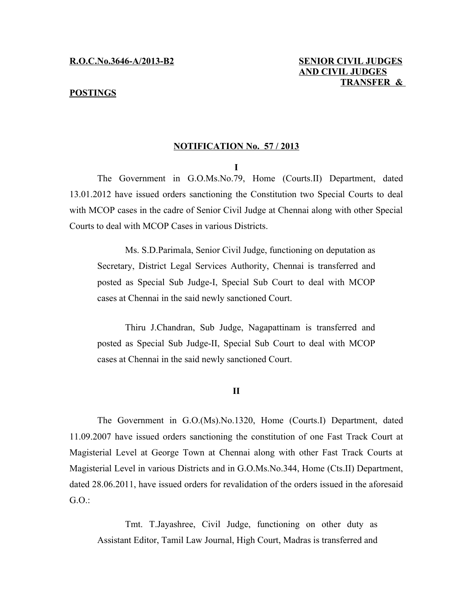#### **POSTINGS**

# **R.O.C.No.3646-A/2013-B2 SENIOR CIVIL JUDGES AND CIVIL JUDGES TRANSFER &**

### **NOTIFICATION No. 57 / 2013**

**I**

The Government in G.O.Ms.No.79, Home (Courts.II) Department, dated 13.01.2012 have issued orders sanctioning the Constitution two Special Courts to deal with MCOP cases in the cadre of Senior Civil Judge at Chennai along with other Special Courts to deal with MCOP Cases in various Districts.

Ms. S.D.Parimala, Senior Civil Judge, functioning on deputation as Secretary, District Legal Services Authority, Chennai is transferred and posted as Special Sub Judge-I, Special Sub Court to deal with MCOP cases at Chennai in the said newly sanctioned Court.

Thiru J.Chandran, Sub Judge, Nagapattinam is transferred and posted as Special Sub Judge-II, Special Sub Court to deal with MCOP cases at Chennai in the said newly sanctioned Court.

#### **II**

The Government in G.O.(Ms).No.1320, Home (Courts.I) Department, dated 11.09.2007 have issued orders sanctioning the constitution of one Fast Track Court at Magisterial Level at George Town at Chennai along with other Fast Track Courts at Magisterial Level in various Districts and in G.O.Ms.No.344, Home (Cts.II) Department, dated 28.06.2011, have issued orders for revalidation of the orders issued in the aforesaid G.O.:

Tmt. T.Jayashree, Civil Judge, functioning on other duty as Assistant Editor, Tamil Law Journal, High Court, Madras is transferred and